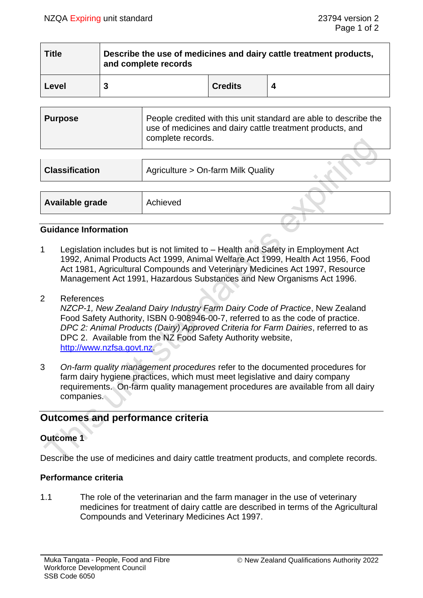| <b>Title</b> | Describe the use of medicines and dairy cattle treatment products,<br>and complete records |                |  |
|--------------|--------------------------------------------------------------------------------------------|----------------|--|
| Level        |                                                                                            | <b>Credits</b> |  |

| <b>Purpose</b> | People credited with this unit standard are able to describe the<br>use of medicines and dairy cattle treatment products, and<br>complete records. |
|----------------|----------------------------------------------------------------------------------------------------------------------------------------------------|
|                |                                                                                                                                                    |

| <b>Classification</b> | Agriculture > On-farm Milk Quality |  |
|-----------------------|------------------------------------|--|
|                       |                                    |  |
| Available grade       | Achieved                           |  |

### **Guidance Information**

- 1 Legislation includes but is not limited to Health and Safety in Employment Act 1992, Animal Products Act 1999, Animal Welfare Act 1999, Health Act 1956, Food Act 1981, Agricultural Compounds and Veterinary Medicines Act 1997, Resource Management Act 1991, Hazardous Substances and New Organisms Act 1996.
- 2 References

*NZCP-1, New Zealand Dairy Industry Farm Dairy Code of Practice*, New Zealand Food Safety Authority, ISBN 0-908946-00-7, referred to as the code of practice. *DPC 2: Animal Products (Dairy) Approved Criteria for Farm Dairies*, referred to as DPC 2. Available from the NZ Food Safety Authority website, [http://www.nzfsa.govt.nz.](http://www.nzfsa.govt.nz/)

3 *On-farm quality management procedures* refer to the documented procedures for farm dairy hygiene practices, which must meet legislative and dairy company requirements. On-farm quality management procedures are available from all dairy companies.

# **Outcomes and performance criteria**

# **Outcome 1**

Describe the use of medicines and dairy cattle treatment products, and complete records.

### **Performance criteria**

1.1 The role of the veterinarian and the farm manager in the use of veterinary medicines for treatment of dairy cattle are described in terms of the Agricultural Compounds and Veterinary Medicines Act 1997.